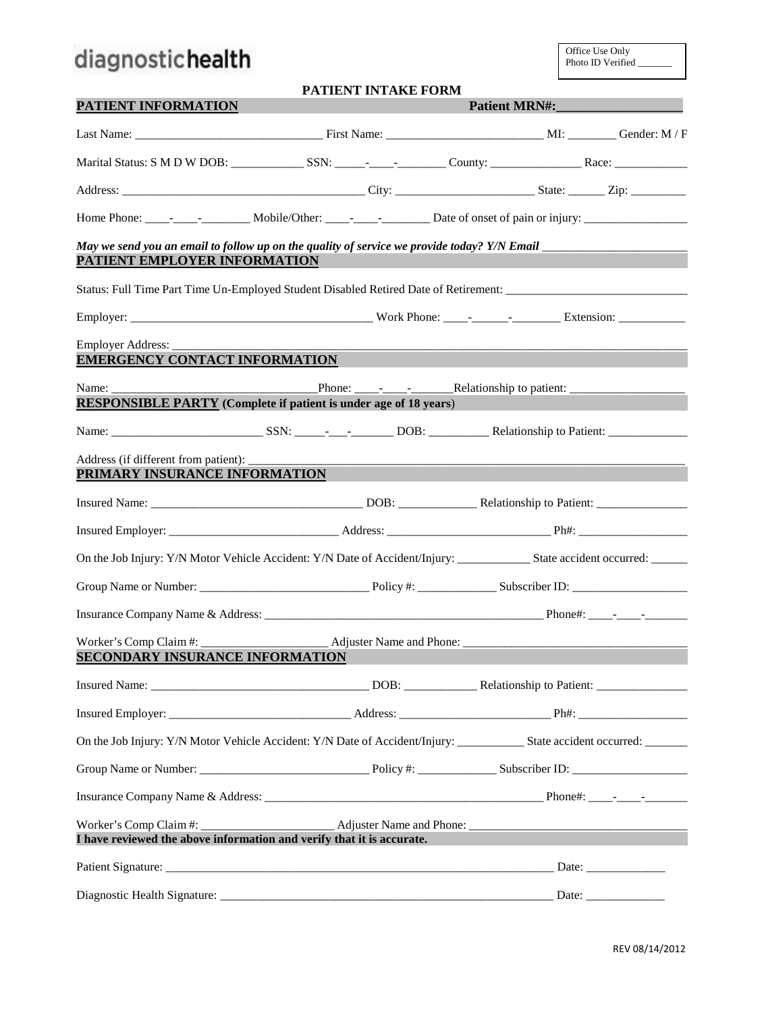# diagnostichealth

|                                                                                 | <b>PATIENT INTAKE FORM</b>                                              |                                                                                                                                         |
|---------------------------------------------------------------------------------|-------------------------------------------------------------------------|-----------------------------------------------------------------------------------------------------------------------------------------|
| PATIENT INFORMATION                                                             |                                                                         | Patient MRN#:                                                                                                                           |
|                                                                                 |                                                                         |                                                                                                                                         |
|                                                                                 |                                                                         |                                                                                                                                         |
|                                                                                 |                                                                         |                                                                                                                                         |
|                                                                                 |                                                                         |                                                                                                                                         |
| PATIENT EMPLOYER INFORMATION                                                    |                                                                         | May we send you an email to follow up on the quality of service we provide today? Y/N Email __________________                          |
|                                                                                 |                                                                         | Status: Full Time Part Time Un-Employed Student Disabled Retired Date of Retirement: _________________________                          |
|                                                                                 |                                                                         |                                                                                                                                         |
| Employer Address:<br><b>EMERGENCY CONTACT INFORMATION</b>                       |                                                                         |                                                                                                                                         |
|                                                                                 |                                                                         |                                                                                                                                         |
|                                                                                 | <b>RESPONSIBLE PARTY</b> (Complete if patient is under age of 18 years) |                                                                                                                                         |
|                                                                                 |                                                                         |                                                                                                                                         |
| Address (if different from patient): _________<br>PRIMARY INSURANCE INFORMATION |                                                                         |                                                                                                                                         |
|                                                                                 |                                                                         |                                                                                                                                         |
|                                                                                 |                                                                         |                                                                                                                                         |
|                                                                                 |                                                                         |                                                                                                                                         |
|                                                                                 |                                                                         |                                                                                                                                         |
|                                                                                 |                                                                         |                                                                                                                                         |
| SECONDARY INSURANCE INFORMATION                                                 |                                                                         |                                                                                                                                         |
|                                                                                 |                                                                         |                                                                                                                                         |
|                                                                                 |                                                                         |                                                                                                                                         |
|                                                                                 |                                                                         | On the Job Injury: Y/N Motor Vehicle Accident: Y/N Date of Accident/Injury: ________________State accident occurred: __________________ |
|                                                                                 |                                                                         |                                                                                                                                         |
|                                                                                 |                                                                         |                                                                                                                                         |
|                                                                                 | I have reviewed the above information and verify that it is accurate.   |                                                                                                                                         |
|                                                                                 |                                                                         |                                                                                                                                         |
|                                                                                 |                                                                         |                                                                                                                                         |
|                                                                                 |                                                                         |                                                                                                                                         |